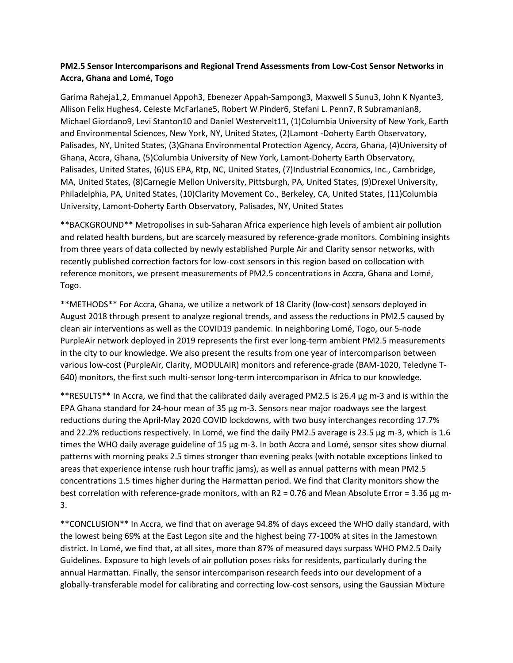## **PM2.5 Sensor Intercomparisons and Regional Trend Assessments from Low-Cost Sensor Networks in Accra, Ghana and Lomé, Togo**

Garima Raheja1,2, Emmanuel Appoh3, Ebenezer Appah-Sampong3, Maxwell S Sunu3, John K Nyante3, Allison Felix Hughes4, Celeste McFarlane5, Robert W Pinder6, Stefani L. Penn7, R Subramanian8, Michael Giordano9, Levi Stanton10 and Daniel Westervelt11, (1)Columbia University of New York, Earth and Environmental Sciences, New York, NY, United States, (2)Lamont -Doherty Earth Observatory, Palisades, NY, United States, (3)Ghana Environmental Protection Agency, Accra, Ghana, (4)University of Ghana, Accra, Ghana, (5)Columbia University of New York, Lamont-Doherty Earth Observatory, Palisades, United States, (6)US EPA, Rtp, NC, United States, (7)Industrial Economics, Inc., Cambridge, MA, United States, (8)Carnegie Mellon University, Pittsburgh, PA, United States, (9)Drexel University, Philadelphia, PA, United States, (10)Clarity Movement Co., Berkeley, CA, United States, (11)Columbia University, Lamont-Doherty Earth Observatory, Palisades, NY, United States

\*\*BACKGROUND\*\* Metropolises in sub-Saharan Africa experience high levels of ambient air pollution and related health burdens, but are scarcely measured by reference-grade monitors. Combining insights from three years of data collected by newly established Purple Air and Clarity sensor networks, with recently published correction factors for low-cost sensors in this region based on collocation with reference monitors, we present measurements of PM2.5 concentrations in Accra, Ghana and Lomé, Togo.

\*\*METHODS\*\* For Accra, Ghana, we utilize a network of 18 Clarity (low-cost) sensors deployed in August 2018 through present to analyze regional trends, and assess the reductions in PM2.5 caused by clean air interventions as well as the COVID19 pandemic. In neighboring Lomé, Togo, our 5-node PurpleAir network deployed in 2019 represents the first ever long-term ambient PM2.5 measurements in the city to our knowledge. We also present the results from one year of intercomparison between various low-cost (PurpleAir, Clarity, MODULAIR) monitors and reference-grade (BAM-1020, Teledyne T-640) monitors, the first such multi-sensor long-term intercomparison in Africa to our knowledge.

\*\*RESULTS\*\* In Accra, we find that the calibrated daily averaged PM2.5 is 26.4 µg m-3 and is within the EPA Ghana standard for 24-hour mean of 35 µg m-3. Sensors near major roadways see the largest reductions during the April-May 2020 COVID lockdowns, with two busy interchanges recording 17.7% and 22.2% reductions respectively. In Lomé, we find the daily PM2.5 average is 23.5 µg m-3, which is 1.6 times the WHO daily average guideline of 15 µg m-3. In both Accra and Lomé, sensor sites show diurnal patterns with morning peaks 2.5 times stronger than evening peaks (with notable exceptions linked to areas that experience intense rush hour traffic jams), as well as annual patterns with mean PM2.5 concentrations 1.5 times higher during the Harmattan period. We find that Clarity monitors show the best correlation with reference-grade monitors, with an R2 = 0.76 and Mean Absolute Error = 3.36 µg m-3.

\*\*CONCLUSION\*\* In Accra, we find that on average 94.8% of days exceed the WHO daily standard, with the lowest being 69% at the East Legon site and the highest being 77-100% at sites in the Jamestown district. In Lomé, we find that, at all sites, more than 87% of measured days surpass WHO PM2.5 Daily Guidelines. Exposure to high levels of air pollution poses risks for residents, particularly during the annual Harmattan. Finally, the sensor intercomparison research feeds into our development of a globally-transferable model for calibrating and correcting low-cost sensors, using the Gaussian Mixture